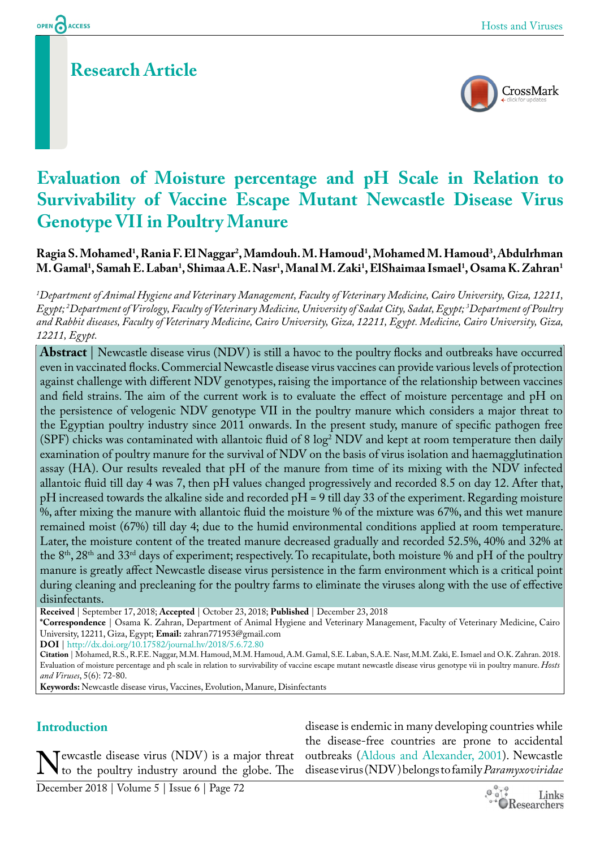# **Research Article**



# **Evaluation of Moisture percentage and pH Scale in Relation to Survivability of Vaccine Escape Mutant Newcastle Disease Virus Genotype VII in Poultry Manure**

## **Ragia S. Mohamed1 , Rania F. El Naggar2 , Mamdouh. M. Hamoud1 , Mohamed M. Hamoud3 , Abdulrhman**   $M$ . Gamal<sup>1</sup>, Samah E. Laban<sup>1</sup>, Shimaa A.E. Nasr<sup>1</sup>, Manal M. Zaki<sup>1</sup>, ElShaimaa Ismael<sup>1</sup>, Osama K. Zahran<sup>1</sup>

*1 Department of Animal Hygiene and Veterinary Management, Faculty of Veterinary Medicine, Cairo University, Giza, 12211, Egypt; 2 Department of Virology, Faculty of Veterinary Medicine, University of Sadat City, Sadat, Egypt; 3 Department of Poultry and Rabbit diseases, Faculty of Veterinary Medicine, Cairo University, Giza, 12211, Egypt. Medicine, Cairo University, Giza, 12211, Egypt.*

**Abstract** | Newcastle disease virus (NDV) is still a havoc to the poultry flocks and outbreaks have occurred even in vaccinated flocks. Commercial Newcastle disease virus vaccines can provide various levels of protection against challenge with different NDV genotypes, raising the importance of the relationship between vaccines and field strains. The aim of the current work is to evaluate the effect of moisture percentage and pH on the persistence of velogenic NDV genotype VII in the poultry manure which considers a major threat to the Egyptian poultry industry since 2011 onwards. In the present study, manure of specific pathogen free (SPF) chicks was contaminated with allantoic fluid of 8  $\log^2 \text{NDV}$  and kept at room temperature then daily examination of poultry manure for the survival of NDV on the basis of virus isolation and haemagglutination assay (HA). Our results revealed that pH of the manure from time of its mixing with the NDV infected allantoic fluid till day 4 was 7, then pH values changed progressively and recorded 8.5 on day 12. After that, pH increased towards the alkaline side and recorded pH = 9 till day 33 of the experiment. Regarding moisture %, after mixing the manure with allantoic fluid the moisture % of the mixture was 67%, and this wet manure remained moist (67%) till day 4; due to the humid environmental conditions applied at room temperature. Later, the moisture content of the treated manure decreased gradually and recorded 52.5%, 40% and 32% at the  $8<sup>th</sup>$ ,  $28<sup>th</sup>$  and  $33<sup>rd</sup>$  days of experiment; respectively. To recapitulate, both moisture % and pH of the poultry manure is greatly affect Newcastle disease virus persistence in the farm environment which is a critical point during cleaning and precleaning for the poultry farms to eliminate the viruses along with the use of effective disinfectants.

**Received** | September 17, 2018; **Accepted** | October 23, 2018; **Published** | December 23, 2018

**\*Correspondence** | Osama K. Zahran, Department of Animal Hygiene and Veterinary Management, Faculty of Veterinary Medicine, Cairo University, 12211, Giza, Egypt; **Email:** zahran771953@gmail.com

**DOI** | [http://dx.doi.org/10.17582/journal.hv/2018/5.6](http://dx.doi.org/10.17582/journal.hv/2018/5.6.72.80).72.80

**Citation** | Mohamed, R.S., R.F.E. Naggar, M.M. Hamoud, M.M. Hamoud, A.M. Gamal, S.E. Laban, S.A.E. Nasr, M.M. Zaki, E. Ismael and O.K. Zahran. 2018. Evaluation of moisture percentage and ph scale in relation to survivability of vaccine escape mutant newcastle disease virus genotype vii in poultry manure. *Hosts and Viruses*, 5(6): 72-80.

**Keywords:** Newcastle disease virus, Vaccines, Evolution, Manure, Disinfectants

## **Introduction**

Newcastle disease virus (NDV) is a major threat<br>to the poultry industry around the globe. The to the poultry industry around the globe. The

disease is endemic in many developing countries while the disease-free countries are prone to accidental outbreaks (Aldous and Alexander, 2001). Newcastle disease virus (NDV) belongs to family *Paramyxoviridae*

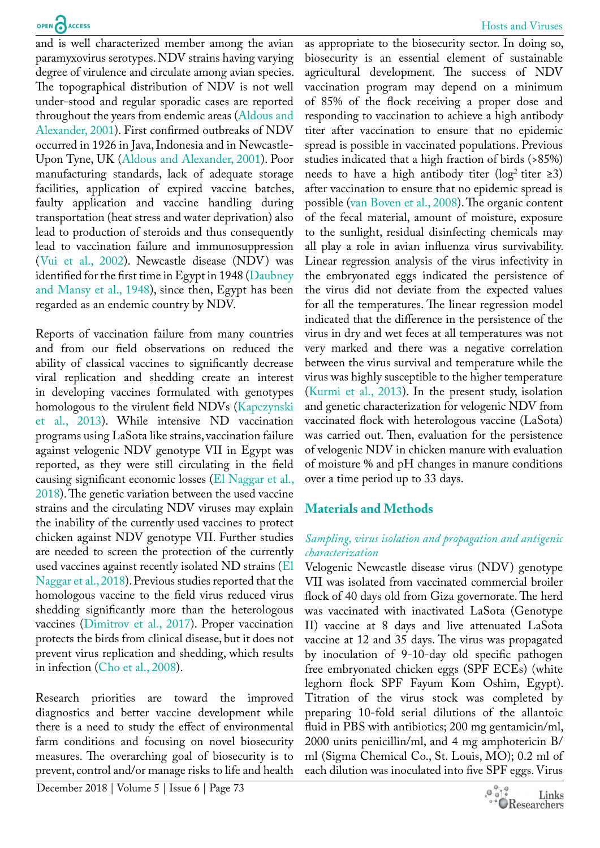and is well characterized member among the avian paramyxovirus serotypes. NDV strains having varying degree of virulence and circulate among avian species. The topographical distribution of NDV is not well under-stood and regular sporadic cases are reported throughout the years from endemic areas (Aldous and Alexander, 2001). First confirmed outbreaks of NDV occurred in 1926 in Java, Indonesia and in Newcastle-Upon Tyne, UK (Aldous and Alexander, 2001). Poor manufacturing standards, lack of adequate storage facilities, application of expired vaccine batches, faulty application and vaccine handling during transportation (heat stress and water deprivation) also lead to production of steroids and thus consequently lead to vaccination failure and immunosuppression ([Vui et al., 2002\)](#page-8-0). Newcastle disease (NDV) was identified for the first time in Egypt in 1948 ([Daubney](#page-7-0) [and Mansy et al., 1948\)](#page-7-0), since then, Egypt has been regarded as an endemic country by NDV.

Reports of vaccination failure from many countries and from our field observations on reduced the ability of classical vaccines to significantly decrease viral replication and shedding create an interest in developing vaccines formulated with genotypes homologous to the virulent field NDVs ([Kapczynski](#page-8-1) [et al., 2013\)](#page-8-1). While intensive ND vaccination programs using LaSota like strains, vaccination failure against velogenic NDV genotype VII in Egypt was reported, as they were still circulating in the field causing significant economic losses (El Naggar et al., 2018). The genetic variation between the used vaccine strains and the circulating NDV viruses may explain the inability of the currently used vaccines to protect chicken against NDV genotype VII. Further studies are needed to screen the protection of the currently used vaccines against recently isolated ND strains (El Naggar et al., 2018). Previous studies reported that the homologous vaccine to the field virus reduced virus shedding significantly more than the heterologous vaccines (Dimitrov et al., 2017). Proper vaccination protects the birds from clinical disease, but it does not prevent virus replication and shedding, which results in infection (Cho et al., 2008).

Research priorities are toward the improved diagnostics and better vaccine development while there is a need to study the effect of environmental farm conditions and focusing on novel biosecurity measures. The overarching goal of biosecurity is to prevent, control and/or manage risks to life and health

December 2018 | Volume 5 | Issue 6 | Page 73

as appropriate to the biosecurity sector. In doing so, biosecurity is an essential element of sustainable agricultural development. The success of NDV vaccination program may depend on a minimum of 85% of the flock receiving a proper dose and responding to vaccination to achieve a high antibody titer after vaccination to ensure that no epidemic spread is possible in vaccinated populations. Previous studies indicated that a high fraction of birds (>85%) needs to have a high antibody titer (log<sup>2</sup> titer  $\geq$ 3) after vaccination to ensure that no epidemic spread is possible ([van Boven et al., 2008\)](#page-8-2). The organic content of the fecal material, amount of moisture, exposure to the sunlight, residual disinfecting chemicals may all play a role in avian influenza virus survivability. Linear regression analysis of the virus infectivity in the embryonated eggs indicated the persistence of the virus did not deviate from the expected values for all the temperatures. The linear regression model indicated that the difference in the persistence of the virus in dry and wet feces at all temperatures was not very marked and there was a negative correlation between the virus survival and temperature while the virus was highly susceptible to the higher temperature (Kurmi et al., 2013). In the present study, isolation and genetic characterization for velogenic NDV from vaccinated flock with heterologous vaccine (LaSota) was carried out. Then, evaluation for the persistence of velogenic NDV in chicken manure with evaluation of moisture % and pH changes in manure conditions over a time period up to 33 days.

#### **Materials and Methods**

#### *Sampling, virus isolation and propagation and antigenic characterization*

Velogenic Newcastle disease virus (NDV) genotype VII was isolated from vaccinated commercial broiler flock of 40 days old from Giza governorate. The herd was vaccinated with inactivated LaSota (Genotype II) vaccine at 8 days and live attenuated LaSota vaccine at 12 and 35 days. The virus was propagated by inoculation of 9-10-day old specific pathogen free embryonated chicken eggs (SPF ECEs) (white leghorn flock SPF Fayum Kom Oshim, Egypt). Titration of the virus stock was completed by preparing 10-fold serial dilutions of the allantoic fluid in PBS with antibiotics; 200 mg gentamicin/ml, 2000 units penicillin/ml, and 4 mg amphotericin B/ ml (Sigma Chemical Co., St. Louis, MO); 0.2 ml of each dilution was inoculated into five SPF eggs. Virus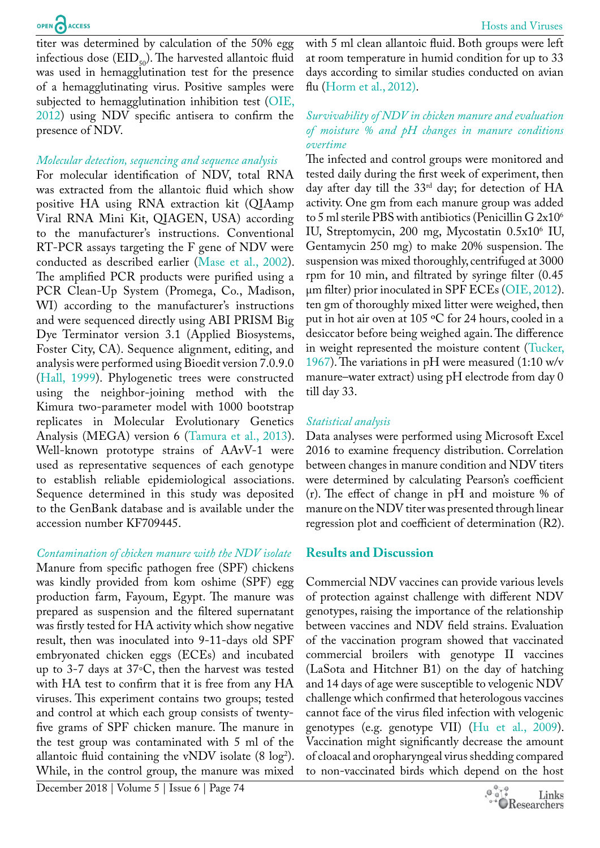titer was determined by calculation of the 50% egg infectious dose  $(EID_{50})$ . The harvested allantoic fluid was used in hemagglutination test for the presence of a hemagglutinating virus. Positive samples were subjected to hemagglutination inhibition test ([OIE,](#page-8-3)  [2012](#page-8-3)) using NDV specific antisera to confirm the presence of NDV.

#### *Molecular detection, sequencing and sequence analysis*

For molecular identification of NDV, total RNA was extracted from the allantoic fluid which show positive HA using RNA extraction kit (QIAamp Viral RNA Mini Kit, QIAGEN, USA) according to the manufacturer's instructions. Conventional RT-PCR assays targeting the F gene of NDV were conducted as described earlier (Mase et al., 2002). The amplified PCR products were purified using a PCR Clean-Up System (Promega, Co., Madison, WI) according to the manufacturer's instructions and were sequenced directly using ABI PRISM Big Dye Terminator version 3.1 (Applied Biosystems, Foster City, CA). Sequence alignment, editing, and analysis were performed using Bioedit version 7.0.9.0 ([Hall, 1999\)](#page-7-1). Phylogenetic trees were constructed using the neighbor-joining method with the Kimura two-parameter model with 1000 bootstrap replicates in Molecular Evolutionary Genetics Analysis (MEGA) version 6 (Tamura et al., 2013). Well-known prototype strains of AAvV-1 were used as representative sequences of each genotype to establish reliable epidemiological associations. Sequence determined in this study was deposited to the GenBank database and is available under the accession number KF709445.

*Contamination of chicken manure with the NDV isolate* Manure from specific pathogen free (SPF) chickens was kindly provided from kom oshime (SPF) egg production farm, Fayoum, Egypt. The manure was prepared as suspension and the filtered supernatant was firstly tested for HA activity which show negative result, then was inoculated into 9-11-days old SPF embryonated chicken eggs (ECEs) and incubated up to 3-7 days at 37◦C, then the harvest was tested with HA test to confirm that it is free from any HA viruses. This experiment contains two groups; tested and control at which each group consists of twentyfive grams of SPF chicken manure. The manure in the test group was contaminated with 5 ml of the allantoic fluid containing the vNDV isolate  $(8 \log^2)$ . While, in the control group, the manure was mixed

December 2018 | Volume 5 | Issue 6 | Page 74

with 5 ml clean allantoic fluid. Both groups were left at room temperature in humid condition for up to 33 days according to similar studies conducted on avian flu (Horm et al., 2012).

#### *Survivability of NDV in chicken manure and evaluation of moisture % and pH changes in manure conditions overtime*

The infected and control groups were monitored and tested daily during the first week of experiment, then day after day till the 33<sup>rd</sup> day; for detection of HA activity. One gm from each manure group was added to 5 ml sterile PBS with antibiotics (Penicillin G  $2x10^6$ IU, Streptomycin, 200 mg, Mycostatin 0.5x10<sup>6</sup> IU, Gentamycin 250 mg) to make 20% suspension. The suspension was mixed thoroughly, centrifuged at 3000 rpm for 10 min, and filtrated by syringe filter (0.45 µm filter) prior inoculated in SPF ECEs ([OIE, 2012](#page-8-3)). ten gm of thoroughly mixed litter were weighed, then put in hot air oven at 105 ºC for 24 hours, cooled in a desiccator before being weighed again. The difference in weight represented the moisture content [\(Tucker,](#page-8-4) [1967\)](#page-8-4). The variations in pH were measured (1:10 w/v manure–water extract) using pH electrode from day 0 till day 33.

#### *Statistical analysis*

Data analyses were performed using Microsoft Excel 2016 to examine frequency distribution. Correlation between changes in manure condition and NDV titers were determined by calculating Pearson's coefficient (r). The effect of change in pH and moisture % of manure on the NDV titer was presented through linear regression plot and coefficient of determination (R2).

## **Results and Discussion**

Commercial NDV vaccines can provide various levels of protection against challenge with different NDV genotypes, raising the importance of the relationship between vaccines and NDV field strains. Evaluation of the vaccination program showed that vaccinated commercial broilers with genotype II vaccines (LaSota and Hitchner B1) on the day of hatching and 14 days of age were susceptible to velogenic NDV challenge which confirmed that heterologous vaccines cannot face of the virus filed infection with velogenic genotypes (e.g. genotype VII) (Hu et al., 2009). Vaccination might significantly decrease the amount of cloacal and oropharyngeal virus shedding compared to non-vaccinated birds which depend on the host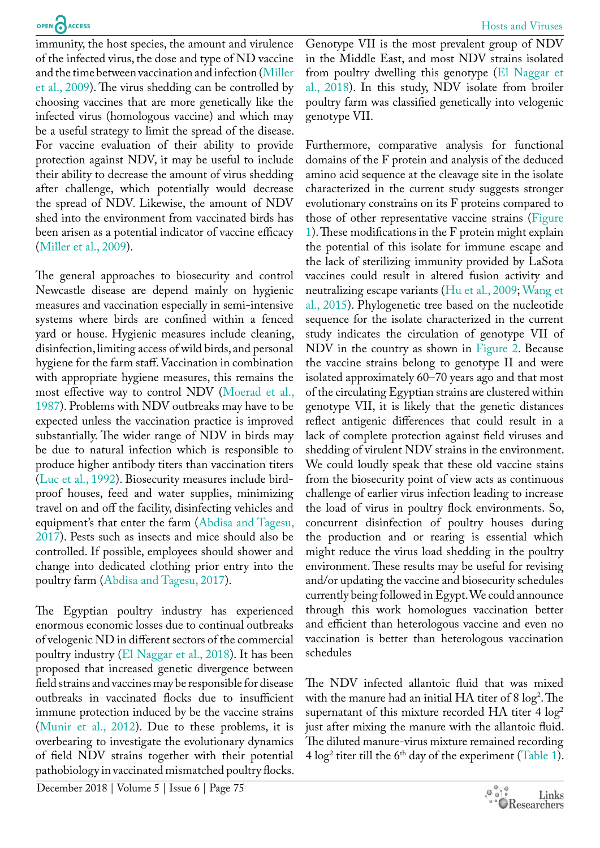immunity, the host species, the amount and virulence of the infected virus, the dose and type of ND vaccine and the time between vaccination and infection (Miller et al., 2009). The virus shedding can be controlled by choosing vaccines that are more genetically like the infected virus (homologous vaccine) and which may be a useful strategy to limit the spread of the disease. For vaccine evaluation of their ability to provide protection against NDV, it may be useful to include their ability to decrease the amount of virus shedding after challenge, which potentially would decrease the spread of NDV. Likewise, the amount of NDV shed into the environment from vaccinated birds has been arisen as a potential indicator of vaccine efficacy (Miller et al., 2009).

The general approaches to biosecurity and control Newcastle disease are depend mainly on hygienic measures and vaccination especially in semi-intensive systems where birds are confined within a fenced yard or house. Hygienic measures include cleaning, disinfection, limiting access of wild birds, and personal hygiene for the farm staff. Vaccination in combination with appropriate hygiene measures, this remains the most effective way to control NDV [\(Moerad et al.,](#page-8-5) [1987](#page-8-5)). Problems with NDV outbreaks may have to be expected unless the vaccination practice is improved substantially. The wider range of NDV in birds may be due to natural infection which is responsible to produce higher antibody titers than vaccination titers [\(Luc et al., 1992\)](#page-8-6). Biosecurity measures include birdproof houses, feed and water supplies, minimizing travel on and off the facility, disinfecting vehicles and equipment's that enter the farm [\(Abdisa and Tagesu,](#page-7-2) [2017](#page-7-2)). Pests such as insects and mice should also be controlled. If possible, employees should shower and change into dedicated clothing prior entry into the poultry farm ([Abdisa and Tagesu, 2017](#page-7-2)).

The Egyptian poultry industry has experienced enormous economic losses due to continual outbreaks of velogenic ND in different sectors of the commercial poultry industry (El Naggar et al., 2018). It has been proposed that increased genetic divergence between field strains and vaccines may be responsible for disease outbreaks in vaccinated flocks due to insufficient immune protection induced by be the vaccine strains [\(Munir et al., 2012](#page-8-7)). Due to these problems, it is overbearing to investigate the evolutionary dynamics of field NDV strains together with their potential pathobiology in vaccinated mismatched poultry flocks.

Genotype VII is the most prevalent group of NDV in the Middle East, and most NDV strains isolated from poultry dwelling this genotype (El Naggar et al., 2018). In this study, NDV isolate from broiler poultry farm was classified genetically into velogenic genotype VII.

Furthermore, comparative analysis for functional domains of the F protein and analysis of the deduced amino acid sequence at the cleavage site in the isolate characterized in the current study suggests stronger evolutionary constrains on its F proteins compared to those of other representative vaccine strains ([Figure](#page-4-0) [1](#page-4-0)). These modifications in the F protein might explain the potential of this isolate for immune escape and the lack of sterilizing immunity provided by LaSota vaccines could result in altered fusion activity and neutralizing escape variants (Hu et al., 2009; Wang et al., 2015). Phylogenetic tree based on the nucleotide sequence for the isolate characterized in the current study indicates the circulation of genotype VII of NDV in the country as shown in [Figure 2](#page-5-0). Because the vaccine strains belong to genotype II and were isolated approximately 60–70 years ago and that most of the circulating Egyptian strains are clustered within genotype VII, it is likely that the genetic distances reflect antigenic differences that could result in a lack of complete protection against field viruses and shedding of virulent NDV strains in the environment. We could loudly speak that these old vaccine stains from the biosecurity point of view acts as continuous challenge of earlier virus infection leading to increase the load of virus in poultry flock environments. So, concurrent disinfection of poultry houses during the production and or rearing is essential which might reduce the virus load shedding in the poultry environment. These results may be useful for revising and/or updating the vaccine and biosecurity schedules currently being followed in Egypt. We could announce through this work homologues vaccination better and efficient than heterologous vaccine and even no vaccination is better than heterologous vaccination schedules

The NDV infected allantoic fluid that was mixed with the manure had an initial  $HA$  titer of 8  $log<sup>2</sup>$ . The supernatant of this mixture recorded HA titer  $4 \log^2$ just after mixing the manure with the allantoic fluid. The diluted manure-virus mixture remained recording  $4 \log^2$  titer till the 6<sup>th</sup> day of the experiment [\(Table 1](#page-4-1)).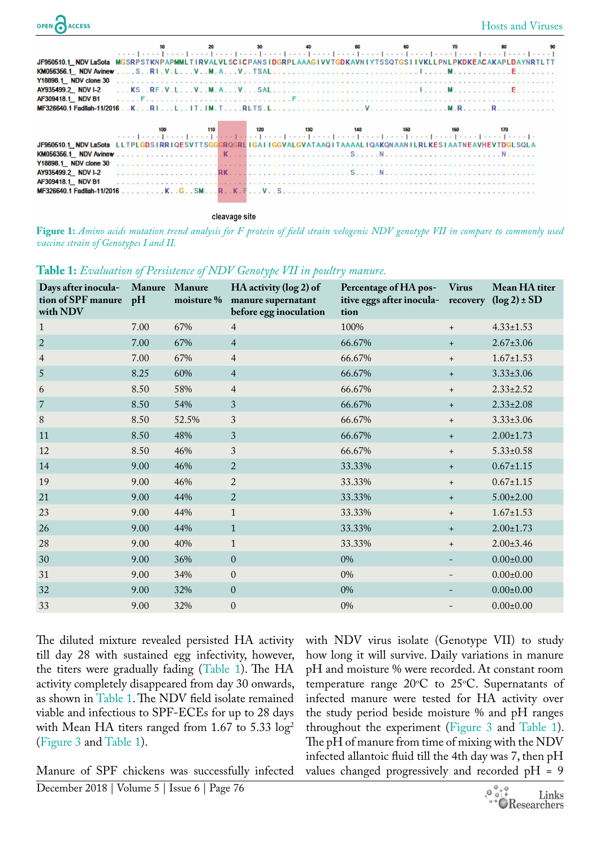| OPEN CACCESS                                                                                                 |  |                                                                                        |  |  | <b>Hosts and Viruses</b> |
|--------------------------------------------------------------------------------------------------------------|--|----------------------------------------------------------------------------------------|--|--|--------------------------|
|                                                                                                              |  |                                                                                        |  |  |                          |
| JF950510.1_NDVLaSota_MGSRPSTKNPAPMMLTIRVALVLSCICPANSIDGRPLAAAGIVVTGDKAVNIYTSSQTGSIIVKLLPNLPKDKEACAKAPLDAYNR1 |  |                                                                                        |  |  |                          |
|                                                                                                              |  |                                                                                        |  |  |                          |
| Y18898.1 NDV clone 30                                                                                        |  |                                                                                        |  |  |                          |
|                                                                                                              |  |                                                                                        |  |  |                          |
| AF309418.1 NDV B1                                                                                            |  |                                                                                        |  |  |                          |
|                                                                                                              |  |                                                                                        |  |  |                          |
|                                                                                                              |  |                                                                                        |  |  |                          |
|                                                                                                              |  |                                                                                        |  |  |                          |
| JF950510.1 NDV LaSota                                                                                        |  | LLTPLGDSIRRIQESVTTSGGGRQGRLIGAIIGGVALGVATAAQITAAAALIQAKQNAANILRLKESIAATNEAVHEVTDGLSQLA |  |  |                          |
|                                                                                                              |  |                                                                                        |  |  |                          |
| Y18898.1 NDV clone 30                                                                                        |  |                                                                                        |  |  |                          |
| AY935499.2 NDV I-2                                                                                           |  |                                                                                        |  |  |                          |
| AF309418.1 NDV B1                                                                                            |  |                                                                                        |  |  |                          |
| MF326640.1 Fadilah-11/2016                                                                                   |  |                                                                                        |  |  |                          |

cleavage site

<span id="page-4-0"></span>**Figure 1:** *Amino acids mutation trend analysis for F protein of field strain velogenic NDV genotype VII in compare to commonly used vaccine strain of Genotypes I and II.*

| Days after inocula-<br>tion of SPF manure<br>with NDV | Manure Manure<br>pH | moisture % | HA activity (log 2) of<br>manure supernatant<br>before egg inoculation | Percentage of HA pos-<br>itive eggs after inocula- recovery $(\log 2) \pm SD$<br>tion | <b>Virus</b> | Mean HA titer   |
|-------------------------------------------------------|---------------------|------------|------------------------------------------------------------------------|---------------------------------------------------------------------------------------|--------------|-----------------|
| $\mathbf{1}$                                          | 7.00                | 67%        | $\overline{4}$                                                         | 100%                                                                                  | $+$          | $4.33 \pm 1.53$ |
| $\overline{2}$                                        | 7.00                | 67%        | $\overline{4}$                                                         | 66.67%                                                                                | $+$          | $2.67 \pm 3.06$ |
| $\overline{4}$                                        | 7.00                | 67%        | $\overline{4}$                                                         | 66.67%                                                                                | $\ddot{}$    | $1.67 \pm 1.53$ |
| $\overline{5}$                                        | 8.25                | 60%        | $\overline{4}$                                                         | 66.67%                                                                                | $+$          | $3.33 \pm 3.06$ |
| 6                                                     | 8.50                | 58%        | $\overline{4}$                                                         | 66.67%                                                                                | $+$          | $2.33 \pm 2.52$ |
| $\overline{7}$                                        | 8.50                | 54%        | 3                                                                      | 66.67%                                                                                | $+$          | $2.33 \pm 2.08$ |
| $8\,$                                                 | 8.50                | 52.5%      | 3                                                                      | 66.67%                                                                                | $+$          | $3.33 \pm 3.06$ |
| 11                                                    | 8.50                | 48%        | 3                                                                      | 66.67%                                                                                | $+$          | $2.00 \pm 1.73$ |
| 12                                                    | 8.50                | 46%        | $\mathfrak{Z}$                                                         | 66.67%                                                                                | $+$          | $5.33 \pm 0.58$ |
| 14                                                    | 9.00                | 46%        | $\overline{2}$                                                         | 33.33%                                                                                | $+$          | $0.67 \pm 1.15$ |
| 19                                                    | 9.00                | 46%        | $\overline{2}$                                                         | 33.33%                                                                                | $+$          | $0.67 \pm 1.15$ |
| 21                                                    | 9.00                | 44%        | $\overline{2}$                                                         | 33.33%                                                                                | $+$          | $5.00 \pm 2.00$ |
| 23                                                    | 9.00                | 44%        | $\mathbf{1}$                                                           | 33.33%                                                                                | $+$          | $1.67 \pm 1.53$ |
| 26                                                    | 9.00                | 44%        | $\mathbf{1}$                                                           | 33.33%                                                                                | $+$          | $2.00 \pm 1.73$ |
| 28                                                    | 9.00                | 40%        | $\mathbf{1}$                                                           | 33.33%                                                                                | $+$          | $2.00 \pm 3.46$ |
| 30                                                    | 9.00                | 36%        | $\boldsymbol{0}$                                                       | 0%                                                                                    |              | $0.00 \pm 0.00$ |
| 31                                                    | 9.00                | 34%        | $\boldsymbol{0}$                                                       | 0%                                                                                    |              | $0.00 \pm 0.00$ |
| 32                                                    | 9.00                | 32%        | $\boldsymbol{0}$                                                       | 0%                                                                                    |              | $0.00 \pm 0.00$ |
| 33                                                    | 9.00                | 32%        | $\boldsymbol{0}$                                                       | 0%                                                                                    |              | $0.00 \pm 0.00$ |

#### <span id="page-4-1"></span>**Table 1:** *Evaluation of Persistence of NDV Genotype VII in poultry manure.*

The diluted mixture revealed persisted HA activity till day 28 with sustained egg infectivity, however, the titers were gradually fading [\(Table 1\)](#page-4-1). The HA activity completely disappeared from day 30 onwards, as shown in [Table 1.](#page-4-1) The NDV field isolate remained viable and infectious to SPF-ECEs for up to 28 days with Mean HA titers ranged from 1.67 to 5.33  $log<sup>2</sup>$ ([Figure 3](#page-6-0) and [Table 1\)](#page-4-1).

December 2018 | Volume 5 | Issue 6 | Page 76 Manure of SPF chickens was successfully infected with NDV virus isolate (Genotype VII) to study how long it will survive. Daily variations in manure pH and moisture % were recorded. At constant room temperature range  $20^{\circ}$ C to 25 $^{\circ}$ C. Supernatants of infected manure were tested for HA activity over the study period beside moisture % and pH ranges throughout the experiment [\(Figure 3](#page-6-0) and [Table 1](#page-4-1)). The pH of manure from time of mixing with the NDV infected allantoic fluid till the 4th day was 7, then pH values changed progressively and recorded pH = 9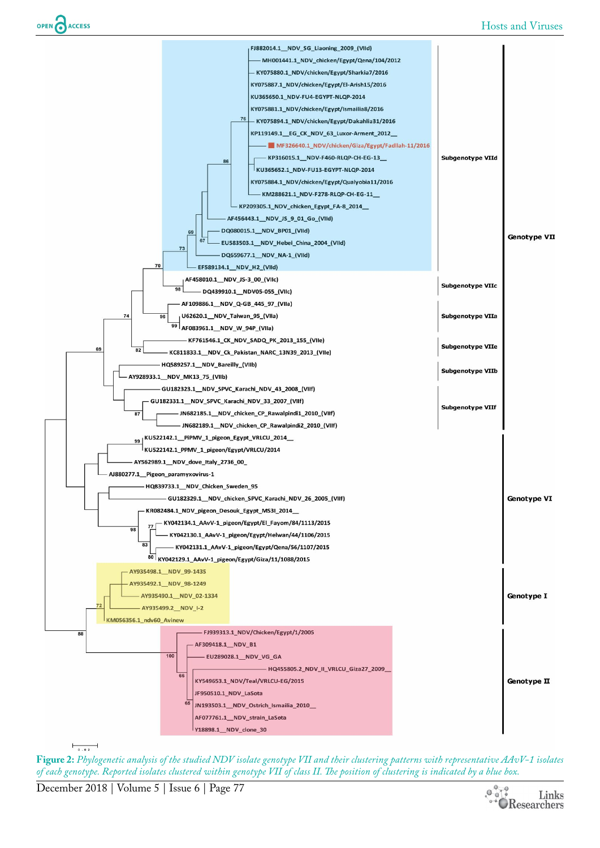

**Figure 2:** *Phylogenetic analysis of the studied NDV isolate genotype VII and their clustering patterns with representative AAvV-1 isolates of each genotype. Reported isolates clustered within genotype VII of class II. The position of clustering is indicated by a blue box.*

<span id="page-5-0"></span>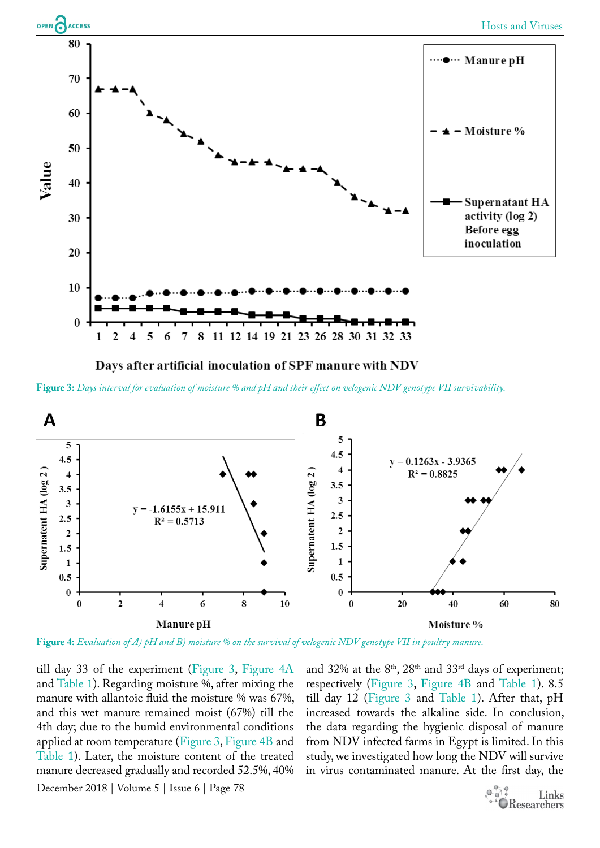

Days after artificial inoculation of SPF manure with NDV

<span id="page-6-0"></span>**Figure 3:** *Days interval for evaluation of moisture % and pH and their effect on velogenic NDV genotype VII survivability.*



<span id="page-6-1"></span>**Figure 4:** *Evaluation of A) pH and B) moisture % on the survival of velogenic NDV genotype VII in poultry manure.*

till day 33 of the experiment ([Figure 3](#page-6-0), [Figure 4A](#page-6-1) and [Table 1](#page-4-1)). Regarding moisture %, after mixing the manure with allantoic fluid the moisture % was 67%, and this wet manure remained moist (67%) till the 4th day; due to the humid environmental conditions applied at room temperature [\(Figure 3](#page-6-0), [Figure 4B](#page-6-1) and [Table 1](#page-4-1)). Later, the moisture content of the treated manure decreased gradually and recorded 52.5%, 40%

and 32% at the 8<sup>th</sup>, 28<sup>th</sup> and 33<sup>rd</sup> days of experiment; respectively ([Figure 3](#page-6-0), [Figure 4B](#page-6-1) and [Table 1](#page-4-1)). 8.5 till day 12 [\(Figure 3](#page-6-0) and [Table 1\)](#page-4-1). After that, pH increased towards the alkaline side. In conclusion, the data regarding the hygienic disposal of manure from NDV infected farms in Egypt is limited. In this study, we investigated how long the NDV will survive in virus contaminated manure. At the first day, the

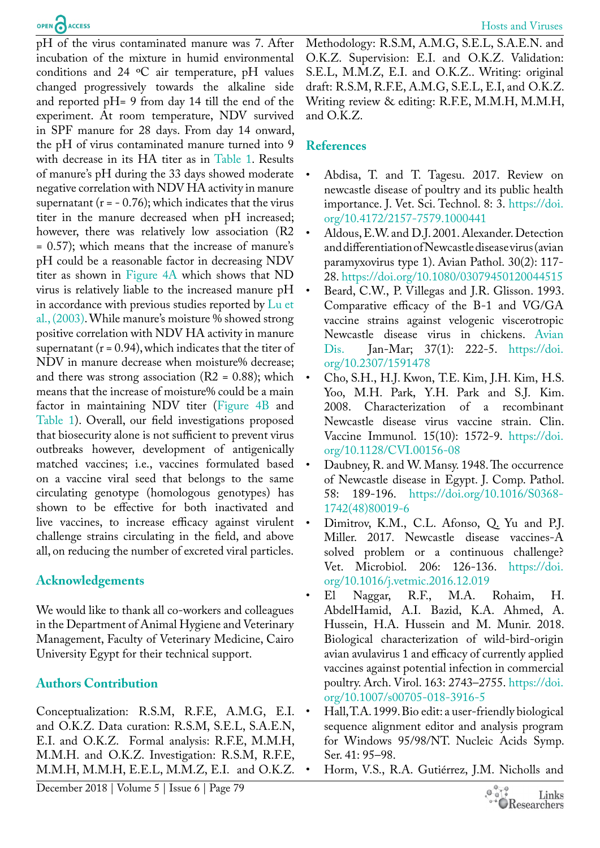pH of the virus contaminated manure was 7. After incubation of the mixture in humid environmental conditions and 24 ºC air temperature, pH values changed progressively towards the alkaline side and reported pH= 9 from day 14 till the end of the experiment. At room temperature, NDV survived in SPF manure for 28 days. From day 14 onward, the pH of virus contaminated manure turned into 9 with decrease in its HA titer as in [Table 1.](#page-4-1) Results of manure's pH during the 33 days showed moderate negative correlation with NDV HA activity in manure supernatant ( $r = -0.76$ ); which indicates that the virus titer in the manure decreased when pH increased; however, there was relatively low association (R2 = 0.57); which means that the increase of manure's pH could be a reasonable factor in decreasing NDV titer as shown in [Figure 4](#page-6-1)A which shows that ND virus is relatively liable to the increased manure pH in accordance with previous studies reported by [Lu et](#page-8-8)  [al., \(2003\).](#page-8-8) While manure's moisture % showed strong positive correlation with NDV HA activity in manure supernatant ( $r = 0.94$ ), which indicates that the titer of NDV in manure decrease when moisture% decrease; and there was strong association  $(R2 = 0.88)$ ; which means that the increase of moisture% could be a main factor in maintaining NDV titer [\(Figure 4B](#page-6-1) and [Table 1](#page-4-1)). Overall, our field investigations proposed that biosecurity alone is not sufficient to prevent virus outbreaks however, development of antigenically matched vaccines; i.e., vaccines formulated based on a vaccine viral seed that belongs to the same circulating genotype (homologous genotypes) has shown to be effective for both inactivated and live vaccines, to increase efficacy against virulent challenge strains circulating in the field, and above all, on reducing the number of excreted viral particles.

## **Acknowledgements**

We would like to thank all co-workers and colleagues in the Department of Animal Hygiene and Veterinary Management, Faculty of Veterinary Medicine, Cairo University Egypt for their technical support.

## **Authors Contribution**

Conceptualization: R.S.M, R.F.E, A.M.G, E.I. and O.K.Z. Data curation: R.S.M, S.E.L, S.A.E.N, E.I. and O.K.Z. Formal analysis: R.F.E, M.M.H, M.M.H. and O.K.Z. Investigation: R.S.M, R.F.E, M.M.H, M.M.H, E.E.L, M.M.Z, E.I. and O.K.Z.

Methodology: R.S.M, A.M.G, S.E.L, S.A.E.N. and O.K.Z. Supervision: E.I. and O.K.Z. Validation: S.E.L, M.M.Z, E.I. and O.K.Z.. Writing: original draft: R.S.M, R.F.E, A.M.G, S.E.L, E.I, and O.K.Z. Writing review & editing: R.F.E, M.M.H, M.M.H, and O.K.Z.

### **References**

- <span id="page-7-2"></span>Abdisa, T. and T. Tagesu. 2017. Review on newcastle disease of poultry and its public health importance. J. Vet. Sci. Technol. 8: 3. [https://doi.](https://doi.org/10.4172/2157-7579.1000441) [org/10.4172/2157-7579.1000441](https://doi.org/10.4172/2157-7579.1000441)
- • Aldous, E.W. and D.J. 2001. Alexander. Detection and differentiation of Newcastle disease virus (avian paramyxovirus type 1). Avian Pathol. 30(2): 117- 28. <https://doi.org/10.1080/03079450120044515>
- Beard, C.W., P. Villegas and J.R. Glisson. 1993. Comparative efficacy of the B-1 and VG/GA vaccine strains against velogenic viscerotropic Newcastle disease virus in chickens. Avian Dis. Jan-Mar; 37(1): 222-5. [https://doi.](https://doi.org/10.2307/1591478) [org/10.2307/1591478](https://doi.org/10.2307/1591478)
- Cho, S.H., H.J. Kwon, T.E. Kim, J.H. Kim, H.S. Yoo, M.H. Park, Y.H. Park and S.J. Kim. 2008. Characterization of a recombinant Newcastle disease virus vaccine strain. Clin. Vaccine Immunol. 15(10): 1572-9. [https://doi.](https://doi.org/10.1128/CVI.00156-08) [org/10.1128/CVI.00156-08](https://doi.org/10.1128/CVI.00156-08)
- <span id="page-7-0"></span>Daubney, R. and W. Mansy. 1948. The occurrence of Newcastle disease in Egypt. J. Comp. Pathol. 58: 189-196. [https://doi.org/10.1016/S0368-](https://doi.org/10.1016/S0368-1742(48)80019-6) [1742\(48\)80019-6](https://doi.org/10.1016/S0368-1742(48)80019-6)
- Dimitrov, K.M., C.L. Afonso, Q. Yu and P.J. Miller. 2017. Newcastle disease vaccines-A solved problem or a continuous challenge? Vet. Microbiol. 206: 126-136. [https://doi.](https://doi.org/10.1016/j.vetmic.2016.12.019) [org/10.1016/j.vetmic.2016.12.019](https://doi.org/10.1016/j.vetmic.2016.12.019)
- • El Naggar, R.F., M.A. Rohaim, H. AbdelHamid, A.I. Bazid, K.A. Ahmed, A. Hussein, H.A. Hussein and M. Munir. 2018. Biological characterization of wild-bird-origin avian avulavirus 1 and efficacy of currently applied vaccines against potential infection in commercial poultry. Arch. Virol. 163: 2743–2755. [https://doi.](https://doi.org/10.1007/s00705-018-3916-5) [org/10.1007/s00705-018-3916-5](https://doi.org/10.1007/s00705-018-3916-5)
- <span id="page-7-1"></span>Hall, T.A. 1999. Bio edit: a user-friendly biological sequence alignment editor and analysis program for Windows 95/98/NT. Nucleic Acids Symp. Ser. 41: 95–98.
- Horm, V.S., R.A. Gutiérrez, J.M. Nicholls and